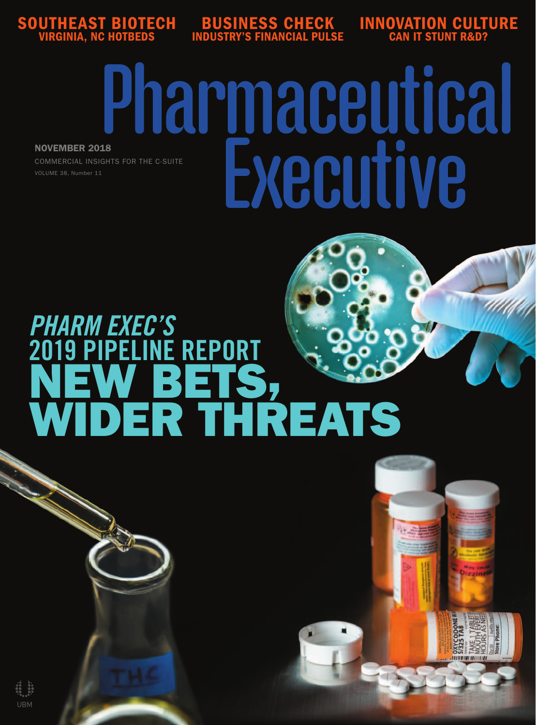

BUSINESS CHECK INDUSTRY'S FINANCIAL PULSE INNOVATION CULTURE CAN IT STUNT R&D?

# Pharmaceutical Executive NOVEMBER 2018 COMMERCIAL INSIGHTS FOR THE C-SUITE

# PHARM EXEC'S **INE REPORT** 2019 PIPELINE REPURT<br>NEW BETS, WIDER THREATS

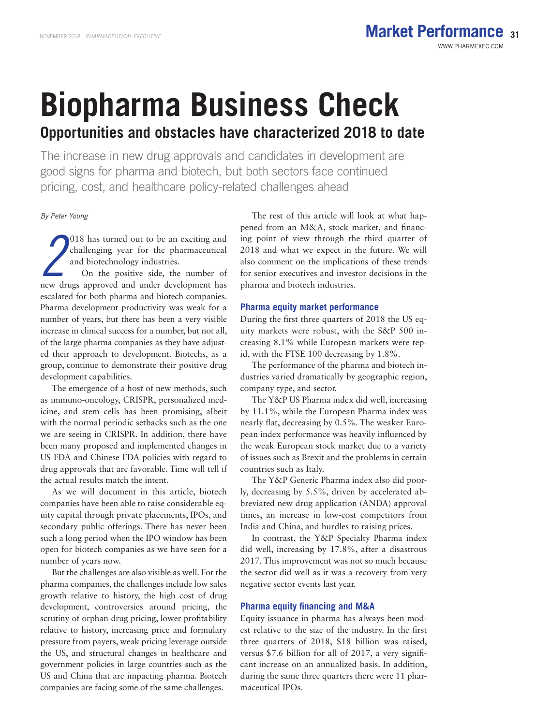The increase in new drug approvals and candidates in development are good signs for pharma and biotech, but both sectors face continued pricing, cost, and healthcare policy-related challenges ahead

## By Peter Young

2018 has turned out to be an exciting and challenging year for the pharmaceutical and biotechnology industries.<br>On the positive side, the number of new drugs approved and under development has 018 has turned out to be an exciting and challenging year for the pharmaceutical and biotechnology industries.

On the positive side, the number of escalated for both pharma and biotech companies. Pharma development productivity was weak for a number of years, but there has been a very visible increase in clinical success for a number, but not all, of the large pharma companies as they have adjusted their approach to development. Biotechs, as a group, continue to demonstrate their positive drug development capabilities.

The emergence of a host of new methods, such as immuno-oncology, CRISPR, personalized medicine, and stem cells has been promising, albeit with the normal periodic setbacks such as the one we are seeing in CRISPR. In addition, there have been many proposed and implemented changes in US FDA and Chinese FDA policies with regard to drug approvals that are favorable. Time will tell if the actual results match the intent.

As we will document in this article, biotech companies have been able to raise considerable equity capital through private placements, IPOs, and secondary public offerings. There has never been such a long period when the IPO window has been open for biotech companies as we have seen for a number of years now.

But the challenges are also visible as well. For the pharma companies, the challenges include low sales growth relative to history, the high cost of drug development, controversies around pricing, the scrutiny of orphan-drug pricing, lower profitability relative to history, increasing price and formulary pressure from payers, weak pricing leverage outside the US, and structural changes in healthcare and government policies in large countries such as the US and China that are impacting pharma. Biotech companies are facing some of the same challenges.

The rest of this article will look at what happened from an M&A, stock market, and financing point of view through the third quarter of 2018 and what we expect in the future. We will also comment on the implications of these trends for senior executives and investor decisions in the pharma and biotech industries.

## **Pharma equity market performance**

During the first three quarters of 2018 the US equity markets were robust, with the S&P 500 increasing 8.1% while European markets were tepid, with the FTSE 100 decreasing by 1.8%.

The performance of the pharma and biotech industries varied dramatically by geographic region, company type, and sector.

The Y&P US Pharma index did well, increasing by 11.1%, while the European Pharma index was nearly flat, decreasing by  $0.5\%$ . The weaker European index performance was heavily influenced by the weak European stock market due to a variety of issues such as Brexit and the problems in certain countries such as Italy.

The Y&P Generic Pharma index also did poorly, decreasing by 5.5%, driven by accelerated abbreviated new drug application (ANDA) approval times, an increase in low-cost competitors from India and China, and hurdles to raising prices.

In contrast, the Y&P Specialty Pharma index did well, increasing by 17.8%, after a disastrous 2017. This improvement was not so much because the sector did well as it was a recovery from very negative sector events last year.

#### **Pharma equity financing and M&A**

Equity issuance in pharma has always been modest relative to the size of the industry. In the first three quarters of 2018, \$18 billion was raised, versus \$7.6 billion for all of 2017, a very significant increase on an annualized basis. In addition, during the same three quarters there were 11 pharmaceutical IPOs.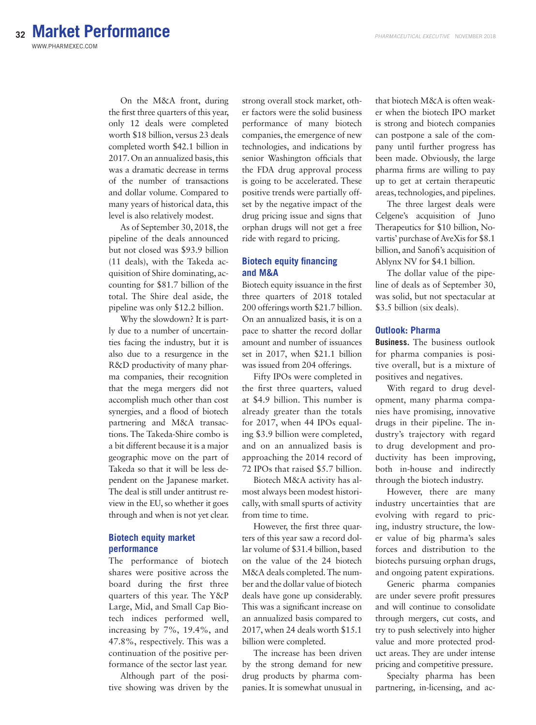**32 Market Performance**WWW.PHARMEXEC.COM

> On the M&A front, during the first three quarters of this year, only 12 deals were completed worth \$18 billion, versus 23 deals completed worth \$42.1 billion in 2017. On an annualized basis, this was a dramatic decrease in terms of the number of transactions and dollar volume. Compared to many years of historical data, this level is also relatively modest.

As of September 30, 2018, the pipeline of the deals announced but not closed was \$93.9 billion (11 deals), with the Takeda acquisition of Shire dominating, accounting for \$81.7 billion of the total. The Shire deal aside, the pipeline was only \$12.2 billion.

Why the slowdown? It is partly due to a number of uncertainties facing the industry, but it is also due to a resurgence in the R&D productivity of many pharma companies, their recognition that the mega mergers did not accomplish much other than cost synergies, and a flood of biotech partnering and M&A transactions. The Takeda-Shire combo is a bit different because it is a major geographic move on the part of Takeda so that it will be less dependent on the Japanese market. The deal is still under antitrust review in the EU, so whether it goes through and when is not yet clear.

# **Biotech equity market performance**

The performance of biotech shares were positive across the board during the first three quarters of this year. The Y&P Large, Mid, and Small Cap Biotech indices performed well, increasing by 7%, 19.4%, and 47.8%, respectively. This was a continuation of the positive performance of the sector last year.

Although part of the positive showing was driven by the

strong overall stock market, other factors were the solid business performance of many biotech companies, the emergence of new technologies, and indications by senior Washington officials that the FDA drug approval process is going to be accelerated. These positive trends were partially offset by the negative impact of the drug pricing issue and signs that orphan drugs will not get a free ride with regard to pricing.

# **Biotech equity financing and M&A**

Biotech equity issuance in the first three quarters of 2018 totaled 200 offerings worth \$21.7 billion. On an annualized basis, it is on a pace to shatter the record dollar amount and number of issuances set in 2017, when \$21.1 billion was issued from 204 offerings.

Fifty IPOs were completed in the first three quarters, valued at \$4.9 billion. This number is already greater than the totals for 2017, when 44 IPOs equaling \$3.9 billion were completed, and on an annualized basis is approaching the 2014 record of 72 IPOs that raised \$5.7 billion.

Biotech M&A activity has almost always been modest historically, with small spurts of activity from time to time.

However, the first three quarters of this year saw a record dollar volume of \$31.4 billion, based on the value of the 24 biotech M&A deals completed. The number and the dollar value of biotech deals have gone up considerably. This was a significant increase on an annualized basis compared to 2017, when 24 deals worth \$15.1 billion were completed.

The increase has been driven by the strong demand for new drug products by pharma companies. It is somewhat unusual in that biotech M&A is often weaker when the biotech IPO market is strong and biotech companies can postpone a sale of the company until further progress has been made. Obviously, the large pharma firms are willing to pay up to get at certain therapeutic areas, technologies, and pipelines.

The three largest deals were Celgene's acquisition of Juno Therapeutics for \$10 billion, Novartis' purchase of AveXis for \$8.1 billion, and Sanofi's acquisition of Ablynx NV for \$4.1 billion.

The dollar value of the pipeline of deals as of September 30, was solid, but not spectacular at \$3.5 billion (six deals).

#### **Outlook: Pharma**

**Business.** The business outlook for pharma companies is positive overall, but is a mixture of positives and negatives.

With regard to drug development, many pharma companies have promising, innovative drugs in their pipeline. The industry's trajectory with regard to drug development and productivity has been improving, both in-house and indirectly through the biotech industry.

However, there are many industry uncertainties that are evolving with regard to pricing, industry structure, the lower value of big pharma's sales forces and distribution to the biotechs pursuing orphan drugs, and ongoing patent expirations.

Generic pharma companies are under severe profit pressures and will continue to consolidate through mergers, cut costs, and try to push selectively into higher value and more protected product areas. They are under intense pricing and competitive pressure.

Specialty pharma has been partnering, in-licensing, and ac-